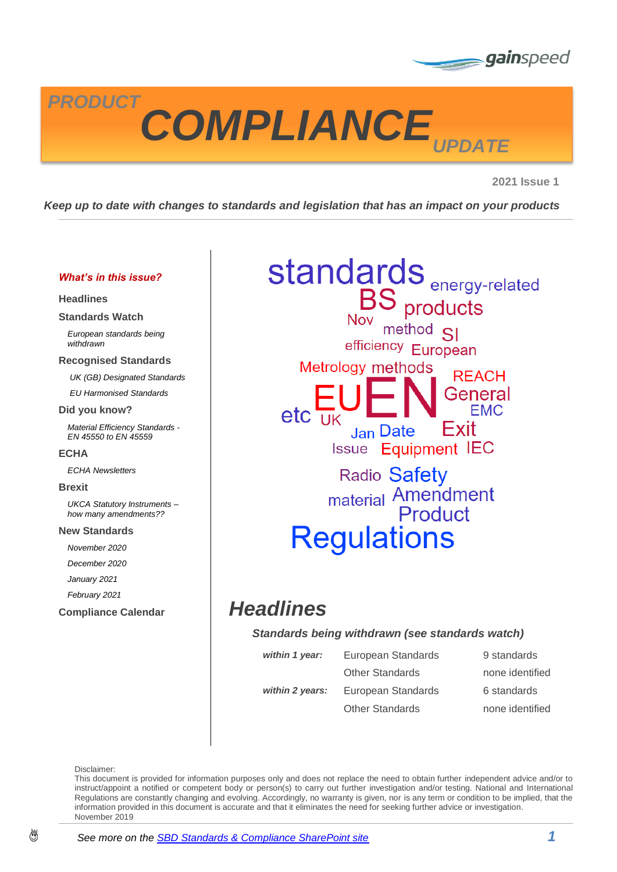



**2021 Issue 1**

*Keep up to date with changes to standards and legislation that has an impact on your products*

#### *What's in this issue?*

#### **[Headlines](#page-0-0)**

**[Standards Watch](#page-1-0)**

*[European standards being](#page-1-1)  [withdrawn](#page-1-1)*

#### **[Recognised Standards](#page-2-0)**

*[UK \(GB\) Designated Standards](#page-2-1) [EU Harmonised Standards](#page-2-2)*

#### **[Did you know?](#page-3-0)**

*[Material Efficiency Standards -](#page-3-1) [EN 45550 to EN 45559](#page-3-1)*

#### **[ECHA](#page-3-2)**

*[ECHA Newsletters](#page-3-3)*

#### **[Brexit](#page-4-0)**

*[UKCA Statutory Instruments –](#page-4-1) [how many amendments??](#page-4-1)*

#### **[New Standards](#page-5-0)**

*[November 2020](#page-5-1)*

*[December 2020](#page-5-2)*

*[January 2021](#page-5-3)*

*[February 2021](#page-5-4)*

# **standards**<br>BS products<br>Nov method SI

efficiency European Metrology methods

**REACH** General  $etc$   $\overline{u}$ Exit **Jan Date Issue Equipment IEC** 

Radio Safety material Amendment **Regulations** 

# **[Compliance Calendar](#page-6-0)** *Headlines*

#### <span id="page-0-0"></span>*Standards being withdrawn (see standards watch)*

| within 1 year:  | European Standards     | 9 standards     |
|-----------------|------------------------|-----------------|
|                 | <b>Other Standards</b> | none identified |
| within 2 years: | European Standards     | 6 standards     |
|                 | <b>Other Standards</b> | none identified |

Disclaimer:

This document is provided for information purposes only and does not replace the need to obtain further independent advice and/or to instruct/appoint a notified or competent body or person(s) to carry out further investigation and/or testing. National and International Regulations are constantly changing and evolving. Accordingly, no warranty is given, nor is any term or condition to be implied, that the information provided in this document is accurate and that it eliminates the need for seeking further advice or investigation. November 2019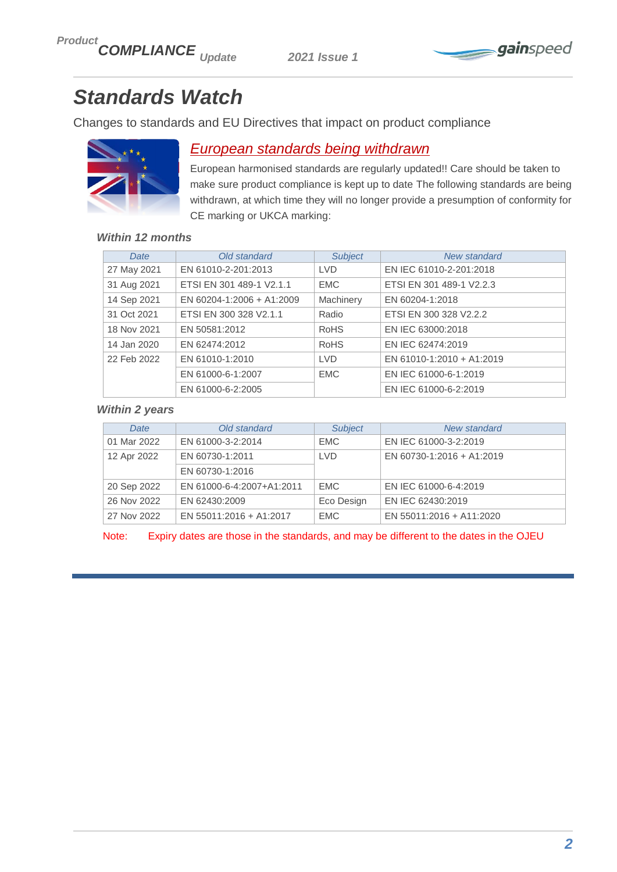

# <span id="page-1-0"></span>*Standards Watch*

Changes to standards and EU Directives that impact on product compliance



# <span id="page-1-1"></span>*European standards being withdrawn*

European harmonised standards are regularly updated!! Care should be taken to make sure product compliance is kept up to date The following standards are being withdrawn, at which time they will no longer provide a presumption of conformity for CE marking or UKCA marking:

## *Within 12 months*

| Date        | Old standard              | <b>Subject</b> | New standard              |
|-------------|---------------------------|----------------|---------------------------|
| 27 May 2021 | EN 61010-2-201:2013       | <b>LVD</b>     | EN IEC 61010-2-201:2018   |
| 31 Aug 2021 | ETSI EN 301 489-1 V2.1.1  | <b>EMC</b>     | ETSI EN 301 489-1 V2.2.3  |
| 14 Sep 2021 | EN 60204-1:2006 + A1:2009 | Machinery      | EN 60204-1:2018           |
| 31 Oct 2021 | ETSI EN 300 328 V2.1.1    | Radio          | ETSI EN 300 328 V2.2.2    |
| 18 Nov 2021 | EN 50581:2012             | <b>RoHS</b>    | EN IEC 63000:2018         |
| 14 Jan 2020 | EN 62474:2012             | <b>RoHS</b>    | EN IEC 62474:2019         |
| 22 Feb 2022 | EN 61010-1:2010           | <b>LVD</b>     | EN 61010-1:2010 + A1:2019 |
|             | EN 61000-6-1:2007         | <b>EMC</b>     | EN IEC 61000-6-1:2019     |
|             | EN 61000-6-2:2005         |                | EN IEC 61000-6-2:2019     |

#### *Within 2 years*

| Date        | Old standard              | <b>Subject</b> | <b>New standard</b>       |
|-------------|---------------------------|----------------|---------------------------|
| 01 Mar 2022 | EN 61000-3-2:2014         | <b>EMC</b>     | EN IEC 61000-3-2:2019     |
| 12 Apr 2022 | EN 60730-1:2011           | <b>LVD</b>     | EN 60730-1:2016 + A1:2019 |
|             | EN 60730-1:2016           |                |                           |
| 20 Sep 2022 | EN 61000-6-4:2007+A1:2011 | <b>EMC</b>     | EN IEC 61000-6-4:2019     |
| 26 Nov 2022 | EN 62430:2009             | Eco Design     | EN IEC 62430:2019         |
| 27 Nov 2022 | EN 55011:2016 + A1:2017   | <b>EMC</b>     | EN 55011:2016 + A11:2020  |

Note: Expiry dates are those in the standards, and may be different to the dates in the OJEU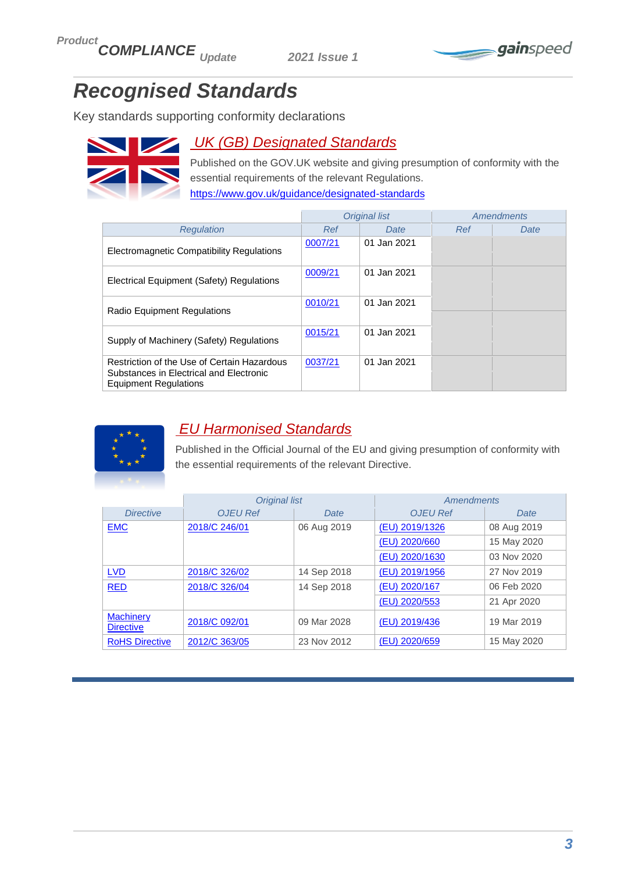

# <span id="page-2-0"></span>*Recognised Standards*

Key standards supporting conformity declarations



# <span id="page-2-1"></span>*UK (GB) Designated Standards*

Published on the GOV.UK website and giving presumption of conformity with the essential requirements of the relevant Regulations. <https://www.gov.uk/guidance/designated-standards>

|                                                                                                                        |         | <b>Original list</b> | Amendments |      |
|------------------------------------------------------------------------------------------------------------------------|---------|----------------------|------------|------|
| Reaulation                                                                                                             | Ref     | Date                 | Ref        | Date |
| Electromagnetic Compatibility Regulations                                                                              | 0007/21 | 01 Jan 2021          |            |      |
| Electrical Equipment (Safety) Regulations                                                                              | 0009/21 | 01 Jan 2021          |            |      |
| <b>Radio Equipment Regulations</b>                                                                                     | 0010/21 | 01 Jan 2021          |            |      |
| Supply of Machinery (Safety) Regulations                                                                               | 0015/21 | 01 Jan 2021          |            |      |
| Restriction of the Use of Certain Hazardous<br>Substances in Electrical and Electronic<br><b>Equipment Requlations</b> | 0037/21 | 01 Jan 2021          |            |      |



# <span id="page-2-2"></span>*EU Harmonised Standards*

Published in the Official Journal of the EU and giving presumption of conformity with the essential requirements of the relevant Directive.

|                                      | <b>Original list</b>         |             | Amendments      |             |  |
|--------------------------------------|------------------------------|-------------|-----------------|-------------|--|
| <b>Directive</b>                     | <b>OJEU Ref</b>              | Date        | <b>OJEU Ref</b> | Date        |  |
| <b>EMC</b>                           | 2018/C 246/01<br>06 Aug 2019 |             | (EU) 2019/1326  | 08 Aug 2019 |  |
|                                      |                              |             | (EU) 2020/660   | 15 May 2020 |  |
|                                      |                              |             | (EU) 2020/1630  | 03 Nov 2020 |  |
| <b>LVD</b>                           | 2018/C 326/02                | 14 Sep 2018 | (EU) 2019/1956  | 27 Nov 2019 |  |
| <b>RED</b>                           | 2018/C 326/04<br>14 Sep 2018 |             | (EU) 2020/167   | 06 Feb 2020 |  |
|                                      |                              |             | (EU) 2020/553   | 21 Apr 2020 |  |
| <b>Machinery</b><br><b>Directive</b> | 2018/C 092/01                | 09 Mar 2028 | (EU) 2019/436   | 19 Mar 2019 |  |
| <b>RoHS Directive</b>                | 2012/C 363/05                | 23 Nov 2012 | (EU) 2020/659   | 15 May 2020 |  |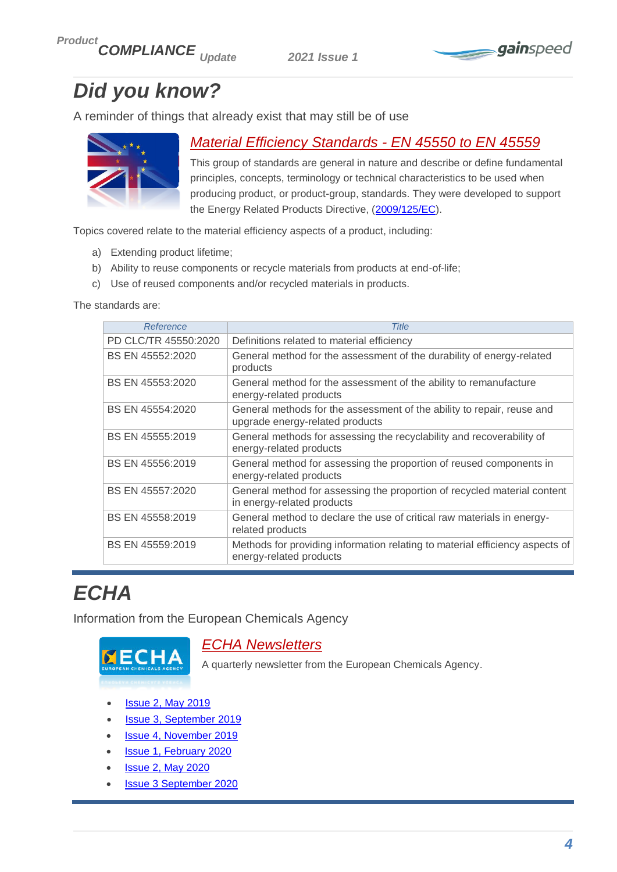

# <span id="page-3-0"></span>*Did you know?*

A reminder of things that already exist that may still be of use



# <span id="page-3-1"></span>*Material Efficiency Standards - EN 45550 to EN 45559*

This group of standards are general in nature and describe or define fundamental principles, concepts, terminology or technical characteristics to be used when producing product, or product-group, standards. They were developed to support the Energy Related Products Directive, [\(2009/125/EC\)](https://eur-lex.europa.eu/legal-content/EN/TXT/PDF/?uri=CELEX:32009L0125&from=EN).

Topics covered relate to the material efficiency aspects of a product, including:

- a) Extending product lifetime;
- b) Ability to reuse components or recycle materials from products at end-of-life;
- c) Use of reused components and/or recycled materials in products.

The standards are:

| Reference            | <b>Title</b>                                                                                              |
|----------------------|-----------------------------------------------------------------------------------------------------------|
| PD CLC/TR 45550:2020 | Definitions related to material efficiency                                                                |
| BS EN 45552:2020     | General method for the assessment of the durability of energy-related<br>products                         |
| BS EN 45553:2020     | General method for the assessment of the ability to remanufacture<br>energy-related products              |
| BS EN 45554:2020     | General methods for the assessment of the ability to repair, reuse and<br>upgrade energy-related products |
| BS EN 45555:2019     | General methods for assessing the recyclability and recoverability of<br>energy-related products          |
| BS EN 45556:2019     | General method for assessing the proportion of reused components in<br>energy-related products            |
| BS EN 45557:2020     | General method for assessing the proportion of recycled material content<br>in energy-related products    |
| BS EN 45558:2019     | General method to declare the use of critical raw materials in energy-<br>related products                |
| BS EN 45559:2019     | Methods for providing information relating to material efficiency aspects of<br>energy-related products   |

# <span id="page-3-2"></span>*ECHA*

Information from the European Chemicals Agency



## <span id="page-3-3"></span>*ECHA Newsletters*

A quarterly newsletter from the European Chemicals Agency.

- **[Issue 2, May 2019](https://newsletter.echa.europa.eu/home/-/newsletter/2/2019)**
- [Issue 3, September 2019](https://newsletter.echa.europa.eu/home/-/newsletter/3/2019)
- [Issue 4, November 2019](https://newsletter.echa.europa.eu/home/-/newsletter/4/2019)
- [Issue 1, February 2020](https://newsletter.echa.europa.eu/home/-/newsletter/1/2020)
- [Issue 2, May 2020](https://newsletter.echa.europa.eu/home/-/newsletter/2/2020)
- [Issue 3 September 2020](https://newsletter.echa.europa.eu/home/-/newsletter/3/2020)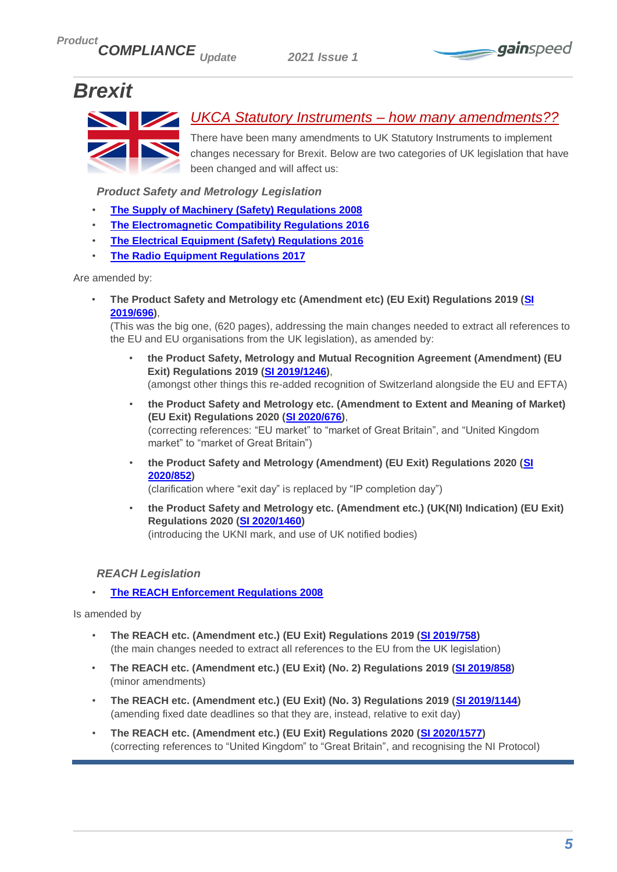

# <span id="page-4-0"></span>*Brexit*



## <span id="page-4-1"></span>*UKCA Statutory Instruments – how many amendments??*

There have been many amendments to UK Statutory Instruments to implement changes necessary for Brexit. Below are two categories of UK legislation that have been changed and will affect us:

*Product Safety and Metrology Legislation*

- **[The Supply of Machinery \(Safety\) Regulations 2008](http://www.legislation.gov.uk/uksi/2008/1597/pdfs/uksi_20081597_en.pdf)**
- **[The Electromagnetic Compatibility Regulations 2016](https://www.legislation.gov.uk/uksi/2016/1091/pdfs/uksi_20161091_en.pdf)**
- **[The Electrical Equipment \(Safety\) Regulations 2016](http://www.legislation.gov.uk/uksi/2016/1101/pdfs/uksi_20161101_en.pdf)**
- **[The Radio Equipment Regulations 2017](http://www.legislation.gov.uk/uksi/2017/1206/pdfs/uksi_20171206_en.pdf)**

Are amended by:

• **The Product Safety and Metrology etc (Amendment etc) (EU Exit) Regulations 2019 [\(SI](https://www.legislation.gov.uk/uksi/2019/696/contents)  [2019/696\)](https://www.legislation.gov.uk/uksi/2019/696/contents)**,

(This was the big one, (620 pages), addressing the main changes needed to extract all references to the EU and EU organisations from the UK legislation), as amended by:

- **the Product Safety, Metrology and Mutual Recognition Agreement (Amendment) (EU Exit) Regulations 2019 [\(SI 2019/1246\)](https://www.legislation.gov.uk/uksi/2019/1246/contents/made)**, (amongst other things this re-added recognition of Switzerland alongside the EU and EFTA)
- **the Product Safety and Metrology etc. (Amendment to Extent and Meaning of Market) (EU Exit) Regulations 2020 [\(SI 2020/676\)](https://www.legislation.gov.uk/uksi/2020/676/made)**, (correcting references: "EU market" to "market of Great Britain", and "United Kingdom market" to "market of Great Britain")
- **the Product Safety and Metrology (Amendment) (EU Exit) Regulations 2020 [\(SI](https://www.legislation.gov.uk/uksi/2020/852/made)  [2020/852\)](https://www.legislation.gov.uk/uksi/2020/852/made)**

(clarification where "exit day" is replaced by "IP completion day")

• **the Product Safety and Metrology etc. (Amendment etc.) (UK(NI) Indication) (EU Exit) Regulations 2020 [\(SI 2020/1460\)](https://www.legislation.gov.uk/uksi/2020/1460/made)** (introducing the UKNI mark, and use of UK notified bodies)

#### *REACH Legislation*

• **[The REACH Enforcement Regulations 2008](http://www.legislation.gov.uk/uksi/2008/2852/pdfs/uksi_20082852_en.pdf)**

Is amended by

- **The REACH etc. (Amendment etc.) (EU Exit) Regulations 2019 [\(SI 2019/758\)](http://www.legislation.gov.uk/uksi/2019/758/pdfs/uksi_20190758_en.pdf)** (the main changes needed to extract all references to the EU from the UK legislation)
- **The REACH etc. (Amendment etc.) (EU Exit) (No. 2) Regulations 2019 [\(SI 2019/858\)](http://www.legislation.gov.uk/uksi/2019/858/pdfs/uksi_20190858_en.pdf)** (minor amendments)
- **The REACH etc. (Amendment etc.) (EU Exit) (No. 3) Regulations 2019 [\(SI 2019/1144\)](http://www.legislation.gov.uk/uksi/2019/1144/pdfs/uksi_20191144_en.pdf)** (amending fixed date deadlines so that they are, instead, relative to exit day)
- **The REACH etc. (Amendment etc.) (EU Exit) Regulations 2020 [\(SI 2020/1577\)](https://www.legislation.gov.uk/uksi/2020/1577/pdfs/uksi_20201577_en.pdf)** (correcting references to "United Kingdom" to "Great Britain", and recognising the NI Protocol)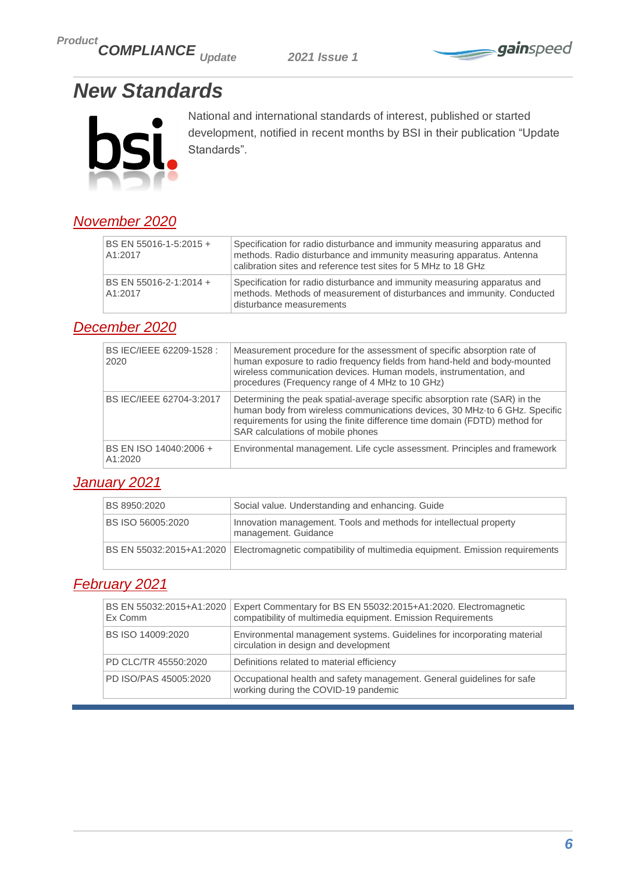*Product COMPLIANCE Update 2021 Issue 1*



# <span id="page-5-0"></span>*New Standards*



National and international standards of interest, published or started development, notified in recent months by BSI in their publication "Update Standards".

# <span id="page-5-1"></span>*November 2020*

| BS EN 55016-1-5:2015 +<br>A1:2017 | Specification for radio disturbance and immunity measuring apparatus and<br>methods. Radio disturbance and immunity measuring apparatus. Antenna<br>calibration sites and reference test sites for 5 MHz to 18 GHz |
|-----------------------------------|--------------------------------------------------------------------------------------------------------------------------------------------------------------------------------------------------------------------|
| BS EN 55016-2-1:2014 +<br>A1:2017 | Specification for radio disturbance and immunity measuring apparatus and<br>methods. Methods of measurement of disturbances and immunity. Conducted<br>disturbance measurements                                    |

## <span id="page-5-2"></span>*December 2020*

| BS IEC/IEEE 62209-1528 :<br>2020  | Measurement procedure for the assessment of specific absorption rate of<br>human exposure to radio frequency fields from hand-held and body-mounted<br>wireless communication devices. Human models, instrumentation, and<br>procedures (Frequency range of 4 MHz to 10 GHz) |
|-----------------------------------|------------------------------------------------------------------------------------------------------------------------------------------------------------------------------------------------------------------------------------------------------------------------------|
| BS IEC/IEEE 62704-3:2017          | Determining the peak spatial-average specific absorption rate (SAR) in the<br>human body from wireless communications devices, 30 MHz to 6 GHz. Specific<br>requirements for using the finite difference time domain (FDTD) method for<br>SAR calculations of mobile phones  |
| BS EN ISO 14040:2006 +<br>A1:2020 | Environmental management. Life cycle assessment. Principles and framework                                                                                                                                                                                                    |

## <span id="page-5-3"></span>*January 2021*

| BS 8950:2020             | Social value. Understanding and enhancing. Guide                                                        |
|--------------------------|---------------------------------------------------------------------------------------------------------|
| <b>BS ISO 56005:2020</b> | Innovation management. Tools and methods for intellectual property<br>management. Guidance              |
|                          | BS EN 55032:2015+A1:2020   Electromagnetic compatibility of multimedia equipment. Emission requirements |

# <span id="page-5-4"></span>*February 2021*

| BS EN 55032:2015+A1:2020<br>Ex Comm | Expert Commentary for BS EN 55032:2015+A1:2020. Electromagnetic<br>compatibility of multimedia equipment. Emission Requirements |
|-------------------------------------|---------------------------------------------------------------------------------------------------------------------------------|
| BS ISO 14009:2020                   | Environmental management systems. Guidelines for incorporating material<br>circulation in design and development                |
| PD CLC/TR 45550:2020                | Definitions related to material efficiency                                                                                      |
| PD ISO/PAS 45005:2020               | Occupational health and safety management. General guidelines for safe<br>working during the COVID-19 pandemic                  |